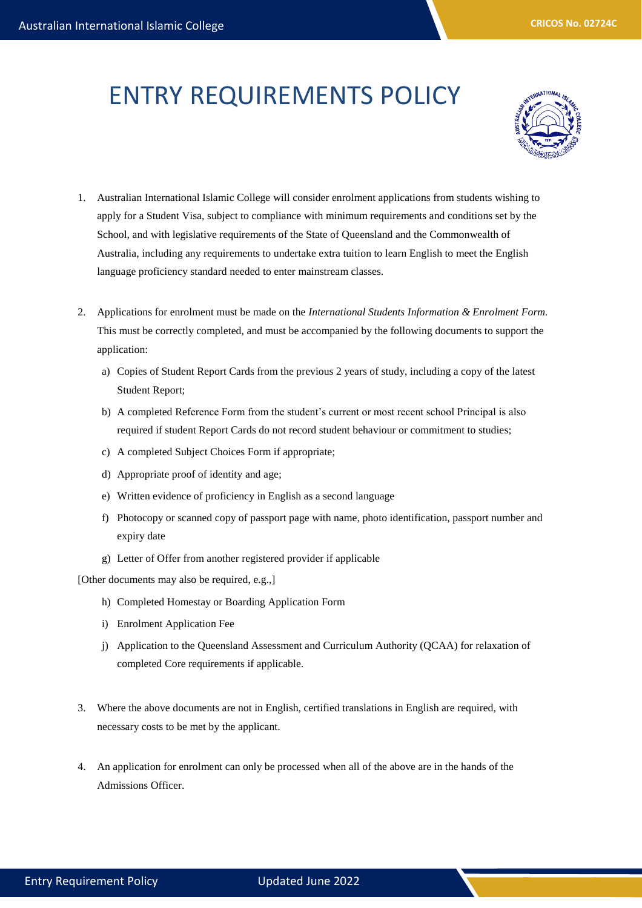## ENTRY REQUIREMENTS POLICY



- 1. Australian International Islamic College will consider enrolment applications from students wishing to apply for a Student Visa, subject to compliance with minimum requirements and conditions set by the School, and with legislative requirements of the State of Queensland and the Commonwealth of Australia, including any requirements to undertake extra tuition to learn English to meet the English language proficiency standard needed to enter mainstream classes.
- 2. Applications for enrolment must be made on the *International Students Information & Enrolment Form.*  This must be correctly completed, and must be accompanied by the following documents to support the application:
	- a) Copies of Student Report Cards from the previous 2 years of study, including a copy of the latest Student Report;
	- b) A completed Reference Form from the student's current or most recent school Principal is also required if student Report Cards do not record student behaviour or commitment to studies;
	- c) A completed Subject Choices Form if appropriate;
	- d) Appropriate proof of identity and age;
	- e) Written evidence of proficiency in English as a second language
	- f) Photocopy or scanned copy of passport page with name, photo identification, passport number and expiry date
	- g) Letter of Offer from another registered provider if applicable

[Other documents may also be required, e.g.,]

- h) Completed Homestay or Boarding Application Form
- i) Enrolment Application Fee
- j) Application to the Queensland Assessment and Curriculum Authority (QCAA) for relaxation of completed Core requirements if applicable.
- 3. Where the above documents are not in English, certified translations in English are required, with necessary costs to be met by the applicant.
- 4. An application for enrolment can only be processed when all of the above are in the hands of the Admissions Officer.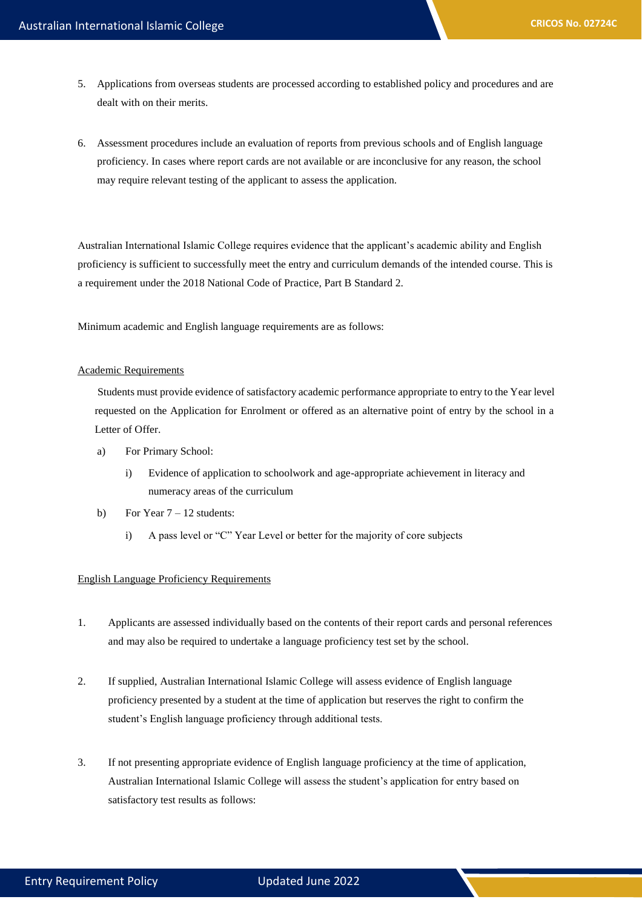- 5. Applications from overseas students are processed according to established policy and procedures and are dealt with on their merits.
- 6. Assessment procedures include an evaluation of reports from previous schools and of English language proficiency. In cases where report cards are not available or are inconclusive for any reason, the school may require relevant testing of the applicant to assess the application.

Australian International Islamic College requires evidence that the applicant's academic ability and English proficiency is sufficient to successfully meet the entry and curriculum demands of the intended course. This is a requirement under the 2018 National Code of Practice, Part B Standard 2.

Minimum academic and English language requirements are as follows:

## Academic Requirements

Students must provide evidence of satisfactory academic performance appropriate to entry to the Year level requested on the Application for Enrolment or offered as an alternative point of entry by the school in a Letter of Offer.

- a) For Primary School:
	- i) Evidence of application to schoolwork and age-appropriate achievement in literacy and numeracy areas of the curriculum
- b) For Year  $7 12$  students:
	- i) A pass level or "C" Year Level or better for the majority of core subjects

## English Language Proficiency Requirements

- 1. Applicants are assessed individually based on the contents of their report cards and personal references and may also be required to undertake a language proficiency test set by the school.
- 2. If supplied, Australian International Islamic College will assess evidence of English language proficiency presented by a student at the time of application but reserves the right to confirm the student's English language proficiency through additional tests.
- 3. If not presenting appropriate evidence of English language proficiency at the time of application, Australian International Islamic College will assess the student's application for entry based on satisfactory test results as follows: